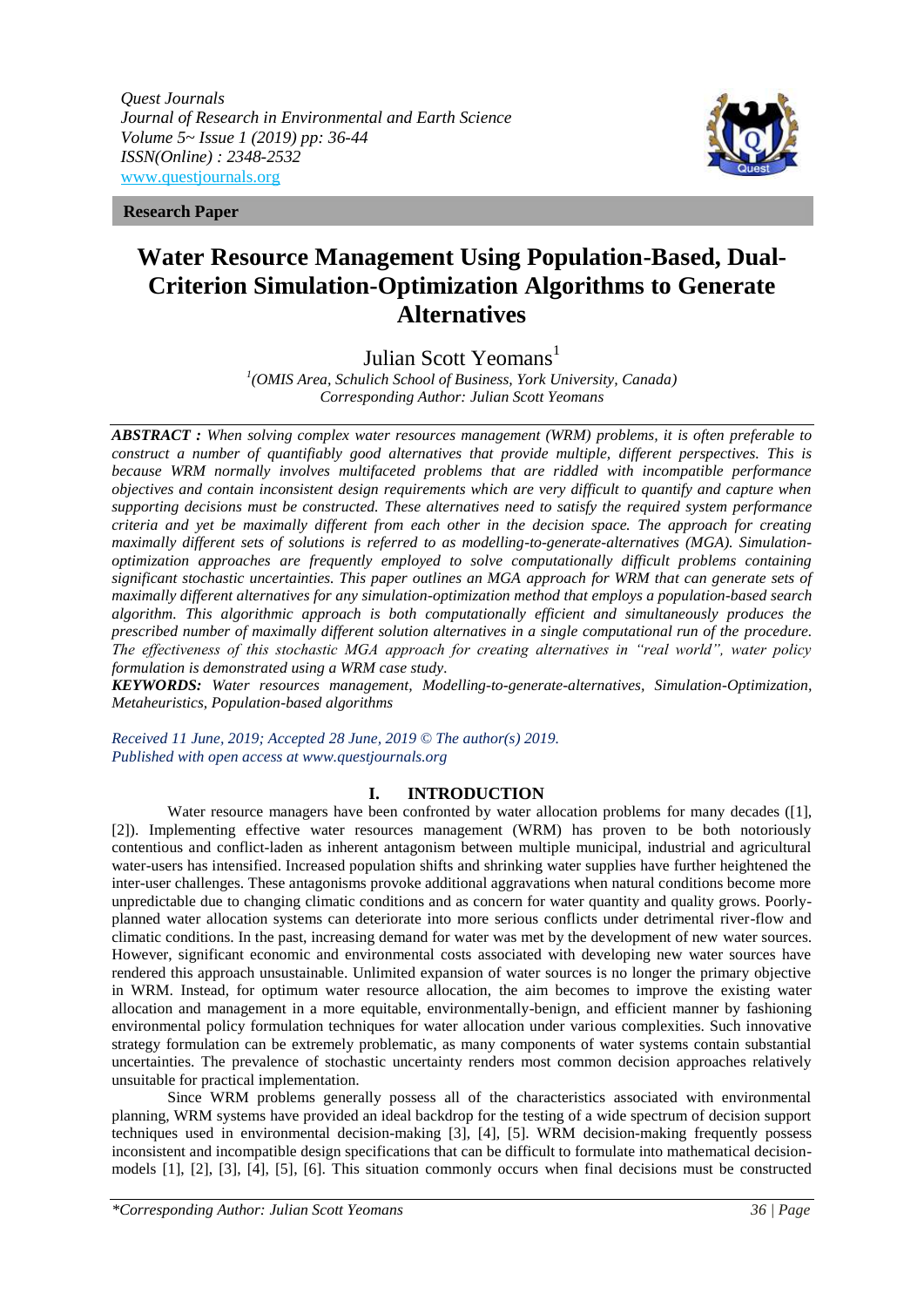*Quest Journals Journal of Research in Environmental and Earth Science Volume 5~ Issue 1 (2019) pp: 36-44 ISSN(Online) : 2348-2532* [www.questjournals.org](http://www.questjournals.org/)





# **Water Resource Management Using Population-Based, Dual-Criterion Simulation-Optimization Algorithms to Generate Alternatives**

Julian Scott Yeomans<sup>1</sup>

*1 (OMIS Area, Schulich School of Business, York University, Canada) Corresponding Author: Julian Scott Yeomans*

*ABSTRACT : When solving complex water resources management (WRM) problems, it is often preferable to construct a number of quantifiably good alternatives that provide multiple, different perspectives. This is because WRM normally involves multifaceted problems that are riddled with incompatible performance objectives and contain inconsistent design requirements which are very difficult to quantify and capture when supporting decisions must be constructed. These alternatives need to satisfy the required system performance criteria and yet be maximally different from each other in the decision space. The approach for creating maximally different sets of solutions is referred to as modelling-to-generate-alternatives (MGA). Simulationoptimization approaches are frequently employed to solve computationally difficult problems containing significant stochastic uncertainties. This paper outlines an MGA approach for WRM that can generate sets of maximally different alternatives for any simulation-optimization method that employs a population-based search algorithm. This algorithmic approach is both computationally efficient and simultaneously produces the prescribed number of maximally different solution alternatives in a single computational run of the procedure. The effectiveness of this stochastic MGA approach for creating alternatives in "real world", water policy formulation is demonstrated using a WRM case study.*

*KEYWORDS: Water resources management, Modelling-to-generate-alternatives, Simulation-Optimization, Metaheuristics, Population-based algorithms*

*Received 11 June, 2019; Accepted 28 June, 2019 © The author(s) 2019. Published with open access at www.questjournals.org*

## **I. INTRODUCTION**

Water resource managers have been confronted by water allocation problems for many decades ([1], [2]). Implementing effective water resources management (WRM) has proven to be both notoriously contentious and conflict-laden as inherent antagonism between multiple municipal, industrial and agricultural water-users has intensified. Increased population shifts and shrinking water supplies have further heightened the inter-user challenges. These antagonisms provoke additional aggravations when natural conditions become more unpredictable due to changing climatic conditions and as concern for water quantity and quality grows. Poorlyplanned water allocation systems can deteriorate into more serious conflicts under detrimental river-flow and climatic conditions. In the past, increasing demand for water was met by the development of new water sources. However, significant economic and environmental costs associated with developing new water sources have rendered this approach unsustainable. Unlimited expansion of water sources is no longer the primary objective in WRM. Instead, for optimum water resource allocation, the aim becomes to improve the existing water allocation and management in a more equitable, environmentally-benign, and efficient manner by fashioning environmental policy formulation techniques for water allocation under various complexities. Such innovative strategy formulation can be extremely problematic, as many components of water systems contain substantial uncertainties. The prevalence of stochastic uncertainty renders most common decision approaches relatively unsuitable for practical implementation.

Since WRM problems generally possess all of the characteristics associated with environmental planning, WRM systems have provided an ideal backdrop for the testing of a wide spectrum of decision support techniques used in environmental decision-making [3], [4], [5]. WRM decision-making frequently possess inconsistent and incompatible design specifications that can be difficult to formulate into mathematical decisionmodels [1], [2], [3], [4], [5], [6]. This situation commonly occurs when final decisions must be constructed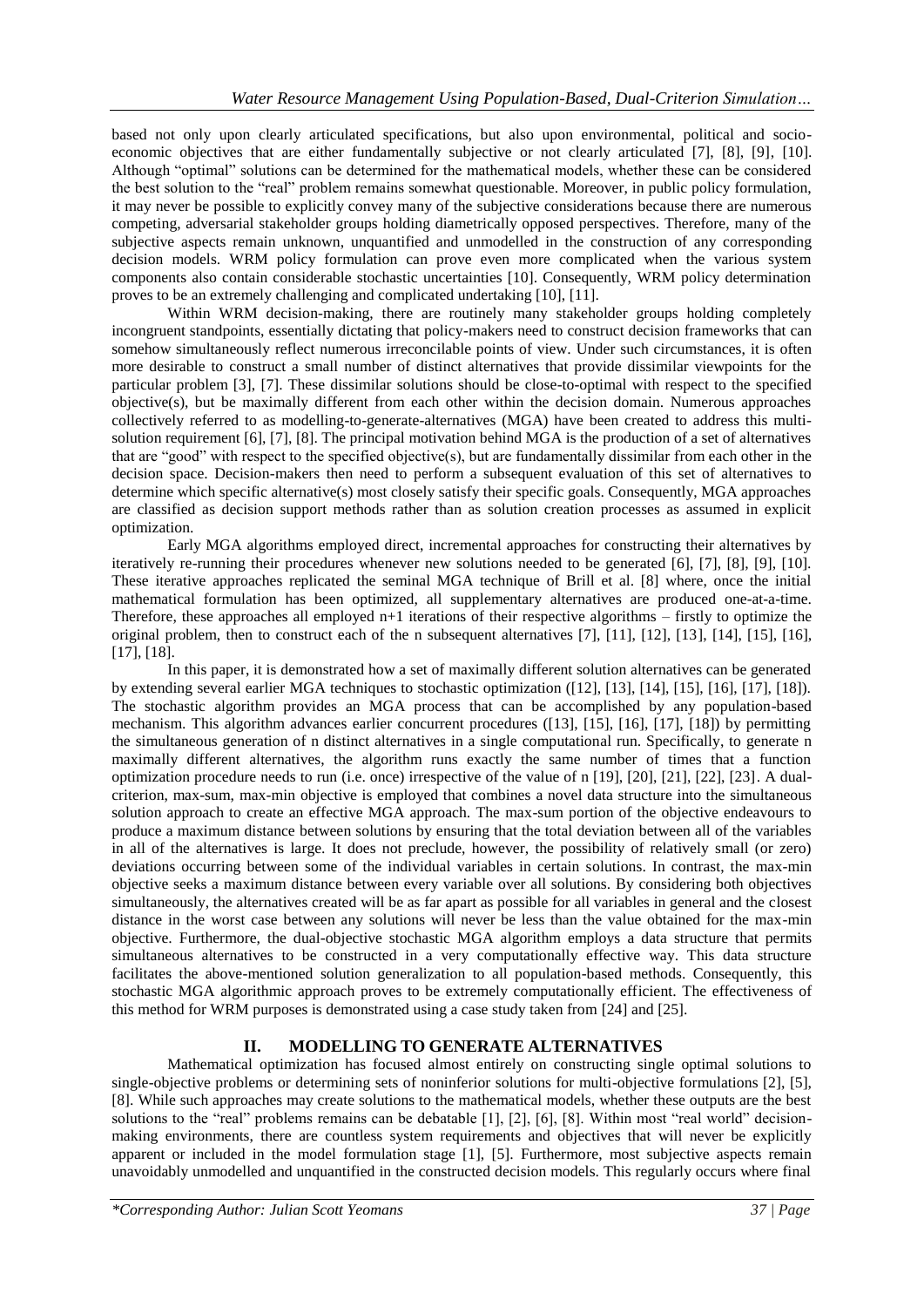based not only upon clearly articulated specifications, but also upon environmental, political and socioeconomic objectives that are either fundamentally subjective or not clearly articulated [7], [8], [9], [10]. Although "optimal" solutions can be determined for the mathematical models, whether these can be considered the best solution to the "real" problem remains somewhat questionable. Moreover, in public policy formulation, it may never be possible to explicitly convey many of the subjective considerations because there are numerous competing, adversarial stakeholder groups holding diametrically opposed perspectives. Therefore, many of the subjective aspects remain unknown, unquantified and unmodelled in the construction of any corresponding decision models. WRM policy formulation can prove even more complicated when the various system components also contain considerable stochastic uncertainties [10]. Consequently, WRM policy determination proves to be an extremely challenging and complicated undertaking [10], [11].

Within WRM decision-making, there are routinely many stakeholder groups holding completely incongruent standpoints, essentially dictating that policy-makers need to construct decision frameworks that can somehow simultaneously reflect numerous irreconcilable points of view. Under such circumstances, it is often more desirable to construct a small number of distinct alternatives that provide dissimilar viewpoints for the particular problem [3], [7]. These dissimilar solutions should be close-to-optimal with respect to the specified objective(s), but be maximally different from each other within the decision domain. Numerous approaches collectively referred to as modelling-to-generate-alternatives (MGA) have been created to address this multisolution requirement [6], [7], [8]. The principal motivation behind MGA is the production of a set of alternatives that are "good" with respect to the specified objective(s), but are fundamentally dissimilar from each other in the decision space. Decision-makers then need to perform a subsequent evaluation of this set of alternatives to determine which specific alternative(s) most closely satisfy their specific goals. Consequently, MGA approaches are classified as decision support methods rather than as solution creation processes as assumed in explicit optimization.

Early MGA algorithms employed direct, incremental approaches for constructing their alternatives by iteratively re-running their procedures whenever new solutions needed to be generated [6], [7], [8], [9], [10]. These iterative approaches replicated the seminal MGA technique of Brill et al. [8] where, once the initial mathematical formulation has been optimized, all supplementary alternatives are produced one-at-a-time. Therefore, these approaches all employed n+1 iterations of their respective algorithms – firstly to optimize the original problem, then to construct each of the n subsequent alternatives [7], [11], [12], [13], [14], [15], [16], [17], [18].

In this paper, it is demonstrated how a set of maximally different solution alternatives can be generated by extending several earlier MGA techniques to stochastic optimization ([12], [13], [14], [15], [16], [17], [18]). The stochastic algorithm provides an MGA process that can be accomplished by any population-based mechanism. This algorithm advances earlier concurrent procedures ([13], [15], [16], [17], [18]) by permitting the simultaneous generation of n distinct alternatives in a single computational run. Specifically, to generate n maximally different alternatives, the algorithm runs exactly the same number of times that a function optimization procedure needs to run (i.e. once) irrespective of the value of n [19], [20], [21], [22], [23]. A dualcriterion, max-sum, max-min objective is employed that combines a novel data structure into the simultaneous solution approach to create an effective MGA approach. The max-sum portion of the objective endeavours to produce a maximum distance between solutions by ensuring that the total deviation between all of the variables in all of the alternatives is large. It does not preclude, however, the possibility of relatively small (or zero) deviations occurring between some of the individual variables in certain solutions. In contrast, the max-min objective seeks a maximum distance between every variable over all solutions. By considering both objectives simultaneously, the alternatives created will be as far apart as possible for all variables in general and the closest distance in the worst case between any solutions will never be less than the value obtained for the max-min objective. Furthermore, the dual-objective stochastic MGA algorithm employs a data structure that permits simultaneous alternatives to be constructed in a very computationally effective way. This data structure facilitates the above-mentioned solution generalization to all population-based methods. Consequently, this stochastic MGA algorithmic approach proves to be extremely computationally efficient. The effectiveness of this method for WRM purposes is demonstrated using a case study taken from [24] and [25].

## **II. MODELLING TO GENERATE ALTERNATIVES**

Mathematical optimization has focused almost entirely on constructing single optimal solutions to single-objective problems or determining sets of noninferior solutions for multi-objective formulations [2], [5], [8]. While such approaches may create solutions to the mathematical models, whether these outputs are the best solutions to the "real" problems remains can be debatable [1], [2], [6], [8]. Within most "real world" decisionmaking environments, there are countless system requirements and objectives that will never be explicitly apparent or included in the model formulation stage [1], [5]. Furthermore, most subjective aspects remain unavoidably unmodelled and unquantified in the constructed decision models. This regularly occurs where final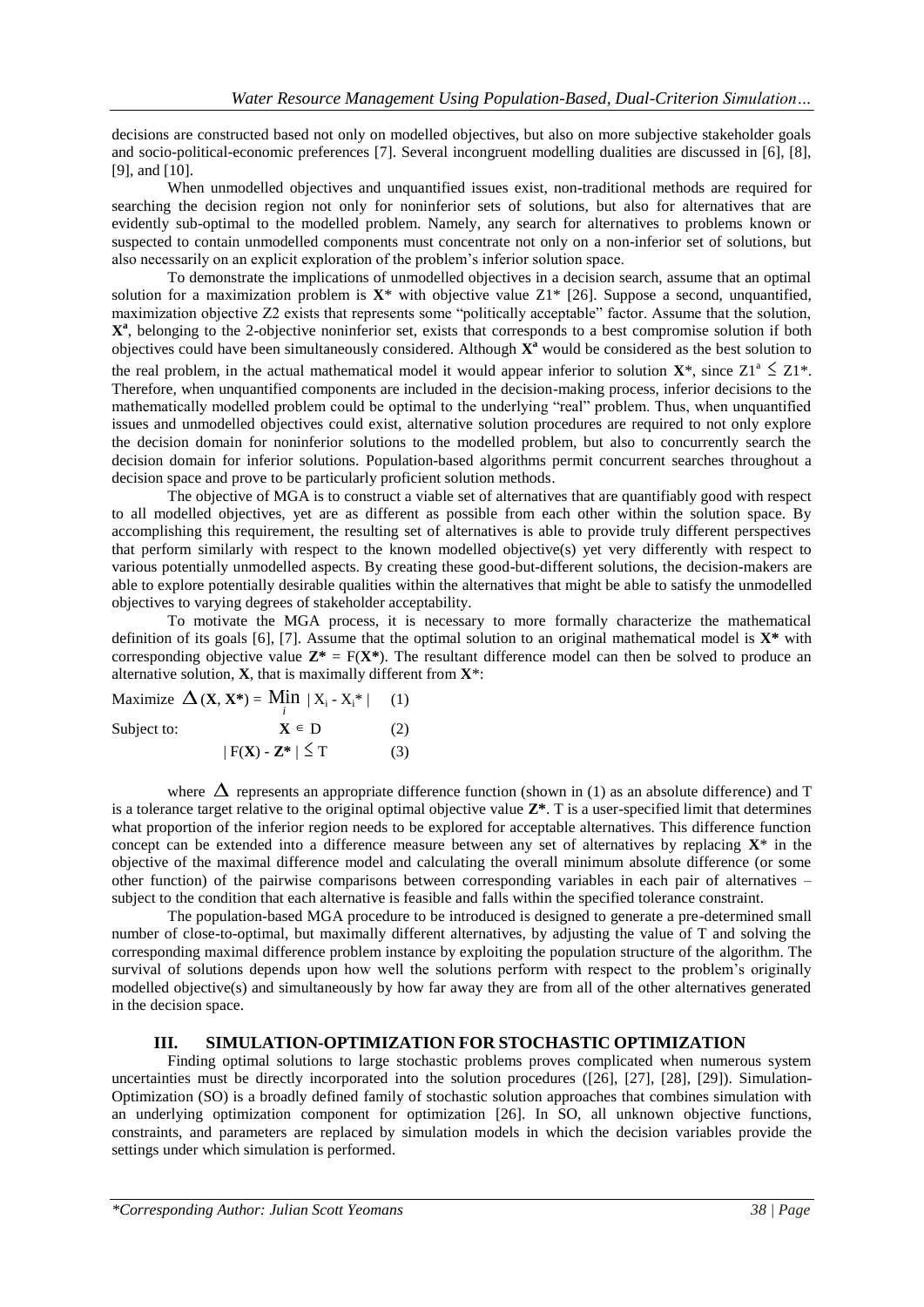decisions are constructed based not only on modelled objectives, but also on more subjective stakeholder goals and socio-political-economic preferences [7]. Several incongruent modelling dualities are discussed in [6], [8], [9], and [10].

When unmodelled objectives and unquantified issues exist, non-traditional methods are required for searching the decision region not only for noninferior sets of solutions, but also for alternatives that are evidently sub-optimal to the modelled problem. Namely, any search for alternatives to problems known or suspected to contain unmodelled components must concentrate not only on a non-inferior set of solutions, but also necessarily on an explicit exploration of the problem's inferior solution space.

To demonstrate the implications of unmodelled objectives in a decision search, assume that an optimal solution for a maximization problem is **X**\* with objective value Z1\* [26]. Suppose a second, unquantified, maximization objective Z2 exists that represents some "politically acceptable" factor. Assume that the solution, **X a** , belonging to the 2-objective noninferior set, exists that corresponds to a best compromise solution if both objectives could have been simultaneously considered. Although **X <sup>a</sup>** would be considered as the best solution to

the real problem, in the actual mathematical model it would appear inferior to solution  $X^*$ , since  $Z1^* \leq Z1^*$ . Therefore, when unquantified components are included in the decision-making process, inferior decisions to the mathematically modelled problem could be optimal to the underlying "real" problem. Thus, when unquantified issues and unmodelled objectives could exist, alternative solution procedures are required to not only explore the decision domain for noninferior solutions to the modelled problem, but also to concurrently search the decision domain for inferior solutions. Population-based algorithms permit concurrent searches throughout a decision space and prove to be particularly proficient solution methods.

The objective of MGA is to construct a viable set of alternatives that are quantifiably good with respect to all modelled objectives, yet are as different as possible from each other within the solution space. By accomplishing this requirement, the resulting set of alternatives is able to provide truly different perspectives that perform similarly with respect to the known modelled objective(s) yet very differently with respect to various potentially unmodelled aspects. By creating these good-but-different solutions, the decision-makers are able to explore potentially desirable qualities within the alternatives that might be able to satisfy the unmodelled objectives to varying degrees of stakeholder acceptability.

To motivate the MGA process, it is necessary to more formally characterize the mathematical definition of its goals [6], [7]. Assume that the optimal solution to an original mathematical model is **X\*** with corresponding objective value  $\mathbf{Z}^* = F(\mathbf{X}^*)$ . The resultant difference model can then be solved to produce an alternative solution, **X**, that is maximally different from **X**\*:

Maximize  $\Delta$  (**X**, **X**\*) = Min | X<sub>i</sub> - X<sub>i</sub>\* | (1) Subject to:  $\in$  D (2)  $|F(X) - Z^*| \leq$  $(3)$ 

where  $\Delta$  represents an appropriate difference function (shown in (1) as an absolute difference) and T is a tolerance target relative to the original optimal objective value  $\mathbb{Z}^*$ . T is a user-specified limit that determines what proportion of the inferior region needs to be explored for acceptable alternatives. This difference function concept can be extended into a difference measure between any set of alternatives by replacing  $X^*$  in the objective of the maximal difference model and calculating the overall minimum absolute difference (or some other function) of the pairwise comparisons between corresponding variables in each pair of alternatives – subject to the condition that each alternative is feasible and falls within the specified tolerance constraint.

The population-based MGA procedure to be introduced is designed to generate a pre-determined small number of close-to-optimal, but maximally different alternatives, by adjusting the value of T and solving the corresponding maximal difference problem instance by exploiting the population structure of the algorithm. The survival of solutions depends upon how well the solutions perform with respect to the problem's originally modelled objective(s) and simultaneously by how far away they are from all of the other alternatives generated in the decision space.

### **III. SIMULATION-OPTIMIZATION FOR STOCHASTIC OPTIMIZATION**

Finding optimal solutions to large stochastic problems proves complicated when numerous system uncertainties must be directly incorporated into the solution procedures ([26], [27], [28], [29]). Simulation-Optimization (SO) is a broadly defined family of stochastic solution approaches that combines simulation with an underlying optimization component for optimization [26]. In SO, all unknown objective functions, constraints, and parameters are replaced by simulation models in which the decision variables provide the settings under which simulation is performed.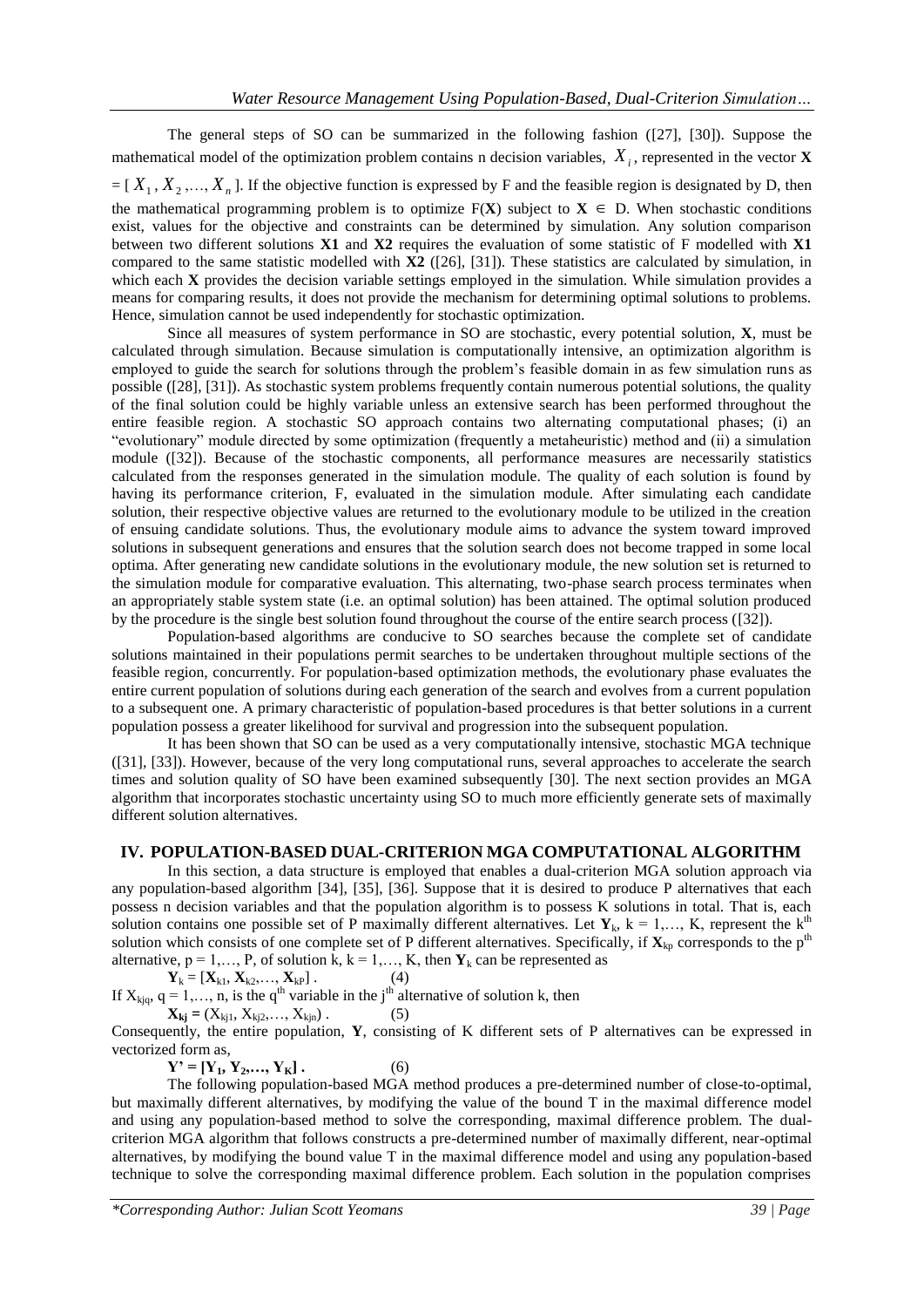The general steps of SO can be summarized in the following fashion  $(27)$ ,  $[30]$ ). Suppose the mathematical model of the optimization problem contains n decision variables, *Xi* , represented in the vector **X**  $=[X_1, X_2, ..., X_n]$ . If the objective function is expressed by F and the feasible region is designated by D, then the mathematical programming problem is to optimize  $F(X)$  subject to  $X \in D$ . When stochastic conditions exist, values for the objective and constraints can be determined by simulation. Any solution comparison between two different solutions **X1** and **X2** requires the evaluation of some statistic of F modelled with **X1** compared to the same statistic modelled with **X2** ([26], [31]). These statistics are calculated by simulation, in which each **X** provides the decision variable settings employed in the simulation. While simulation provides a means for comparing results, it does not provide the mechanism for determining optimal solutions to problems. Hence, simulation cannot be used independently for stochastic optimization.

Since all measures of system performance in SO are stochastic, every potential solution, **X**, must be calculated through simulation. Because simulation is computationally intensive, an optimization algorithm is employed to guide the search for solutions through the problem's feasible domain in as few simulation runs as possible ([28], [31]). As stochastic system problems frequently contain numerous potential solutions, the quality of the final solution could be highly variable unless an extensive search has been performed throughout the entire feasible region. A stochastic SO approach contains two alternating computational phases; (i) an "evolutionary" module directed by some optimization (frequently a metaheuristic) method and (ii) a simulation module ([32]). Because of the stochastic components, all performance measures are necessarily statistics calculated from the responses generated in the simulation module. The quality of each solution is found by having its performance criterion, F, evaluated in the simulation module. After simulating each candidate solution, their respective objective values are returned to the evolutionary module to be utilized in the creation of ensuing candidate solutions. Thus, the evolutionary module aims to advance the system toward improved solutions in subsequent generations and ensures that the solution search does not become trapped in some local optima. After generating new candidate solutions in the evolutionary module, the new solution set is returned to the simulation module for comparative evaluation. This alternating, two-phase search process terminates when an appropriately stable system state (i.e. an optimal solution) has been attained. The optimal solution produced by the procedure is the single best solution found throughout the course of the entire search process ([32]).

Population-based algorithms are conducive to SO searches because the complete set of candidate solutions maintained in their populations permit searches to be undertaken throughout multiple sections of the feasible region, concurrently. For population-based optimization methods, the evolutionary phase evaluates the entire current population of solutions during each generation of the search and evolves from a current population to a subsequent one. A primary characteristic of population-based procedures is that better solutions in a current population possess a greater likelihood for survival and progression into the subsequent population.

It has been shown that SO can be used as a very computationally intensive, stochastic MGA technique ([31], [33]). However, because of the very long computational runs, several approaches to accelerate the search times and solution quality of SO have been examined subsequently [30]. The next section provides an MGA algorithm that incorporates stochastic uncertainty using SO to much more efficiently generate sets of maximally different solution alternatives.

#### **IV. POPULATION-BASED DUAL-CRITERION MGA COMPUTATIONAL ALGORITHM**

In this section, a data structure is employed that enables a dual-criterion MGA solution approach via any population-based algorithm [34], [35], [36]. Suppose that it is desired to produce P alternatives that each possess n decision variables and that the population algorithm is to possess K solutions in total. That is, each solution contains one possible set of P maximally different alternatives. Let  $Y_k$ ,  $k = 1,..., K$ , represent the  $k^{\text{th}}$ solution which consists of one complete set of P different alternatives. Specifically, if  $\mathbf{X}_{kp}$  corresponds to the p<sup>th</sup> alternative,  $p = 1, \ldots, P$ , of solution  $\hat{k}$ ,  $k = 1, \ldots, K$ , then  $Y_k$  can be represented as

 $Y_k = [X_{k1}, X_{k2}, \ldots, X_{kP}]$ . (4)

If  $X_{kjq}$ ,  $q = 1,..., n$ , is the  $q^{th}$  variable in the j<sup>th</sup> alternative of solution k, then

$$
\mathbf{X}_{kj} = (X_{kj1}, X_{kj2}, \dots, X_{kjn}).
$$
 (5)

Consequently, the entire population, **Y**, consisting of K different sets of P alternatives can be expressed in vectorized form as,

 $Y' = [Y_1, Y_2, \dots, Y_K].$  (6)

The following population-based MGA method produces a pre-determined number of close-to-optimal, but maximally different alternatives, by modifying the value of the bound T in the maximal difference model and using any population-based method to solve the corresponding, maximal difference problem. The dualcriterion MGA algorithm that follows constructs a pre-determined number of maximally different, near-optimal alternatives, by modifying the bound value T in the maximal difference model and using any population-based technique to solve the corresponding maximal difference problem. Each solution in the population comprises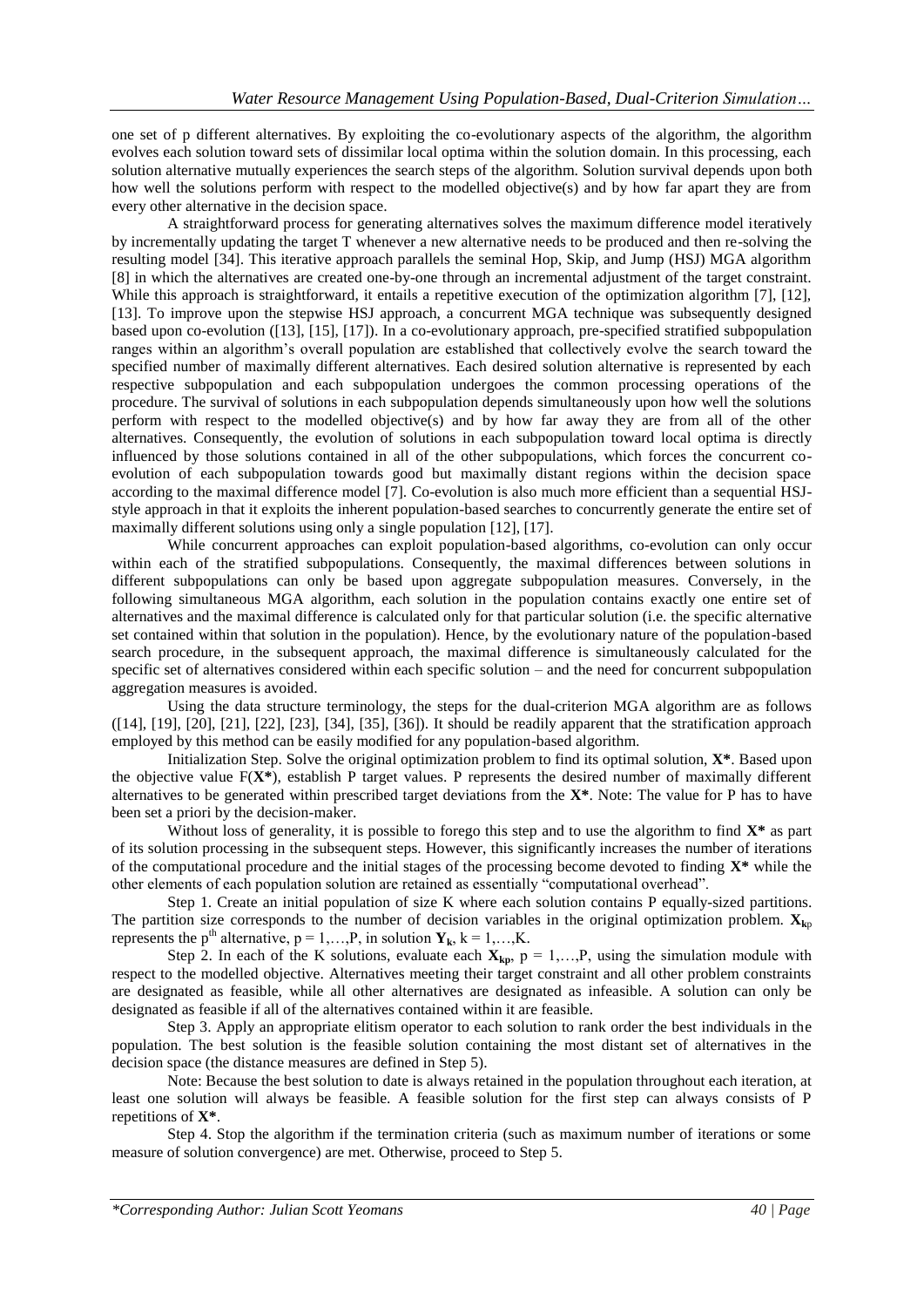one set of p different alternatives. By exploiting the co-evolutionary aspects of the algorithm, the algorithm evolves each solution toward sets of dissimilar local optima within the solution domain. In this processing, each solution alternative mutually experiences the search steps of the algorithm. Solution survival depends upon both how well the solutions perform with respect to the modelled objective(s) and by how far apart they are from every other alternative in the decision space.

A straightforward process for generating alternatives solves the maximum difference model iteratively by incrementally updating the target T whenever a new alternative needs to be produced and then re-solving the resulting model [34]. This iterative approach parallels the seminal Hop, Skip, and Jump (HSJ) MGA algorithm [8] in which the alternatives are created one-by-one through an incremental adjustment of the target constraint. While this approach is straightforward, it entails a repetitive execution of the optimization algorithm [7], [12], [13]. To improve upon the stepwise HSJ approach, a concurrent MGA technique was subsequently designed based upon co-evolution ([13], [15], [17]). In a co-evolutionary approach, pre-specified stratified subpopulation ranges within an algorithm's overall population are established that collectively evolve the search toward the specified number of maximally different alternatives. Each desired solution alternative is represented by each respective subpopulation and each subpopulation undergoes the common processing operations of the procedure. The survival of solutions in each subpopulation depends simultaneously upon how well the solutions perform with respect to the modelled objective(s) and by how far away they are from all of the other alternatives. Consequently, the evolution of solutions in each subpopulation toward local optima is directly influenced by those solutions contained in all of the other subpopulations, which forces the concurrent coevolution of each subpopulation towards good but maximally distant regions within the decision space according to the maximal difference model [7]. Co-evolution is also much more efficient than a sequential HSJstyle approach in that it exploits the inherent population-based searches to concurrently generate the entire set of maximally different solutions using only a single population [12], [17].

While concurrent approaches can exploit population-based algorithms, co-evolution can only occur within each of the stratified subpopulations. Consequently, the maximal differences between solutions in different subpopulations can only be based upon aggregate subpopulation measures. Conversely, in the following simultaneous MGA algorithm, each solution in the population contains exactly one entire set of alternatives and the maximal difference is calculated only for that particular solution (i.e. the specific alternative set contained within that solution in the population). Hence, by the evolutionary nature of the population-based search procedure, in the subsequent approach, the maximal difference is simultaneously calculated for the specific set of alternatives considered within each specific solution – and the need for concurrent subpopulation aggregation measures is avoided.

Using the data structure terminology, the steps for the dual-criterion MGA algorithm are as follows ([14], [19], [20], [21], [22], [23], [34], [35], [36]). It should be readily apparent that the stratification approach employed by this method can be easily modified for any population-based algorithm.

Initialization Step. Solve the original optimization problem to find its optimal solution, **X\***. Based upon the objective value F(**X\***), establish P target values. P represents the desired number of maximally different alternatives to be generated within prescribed target deviations from the **X\***. Note: The value for P has to have been set a priori by the decision-maker.

Without loss of generality, it is possible to forego this step and to use the algorithm to find **X\*** as part of its solution processing in the subsequent steps. However, this significantly increases the number of iterations of the computational procedure and the initial stages of the processing become devoted to finding **X\*** while the other elements of each population solution are retained as essentially "computational overhead".

Step 1. Create an initial population of size K where each solution contains P equally-sized partitions. The partition size corresponds to the number of decision variables in the original optimization problem.  $\mathbf{X}_{\mathbf{k}p}$ represents the p<sup>th</sup> alternative,  $p = 1,...,P$ , in solution  $Y_k$ ,  $k = 1,...,K$ .

Step 2. In each of the K solutions, evaluate each  $X_{kp}$ ,  $p = 1,...,P$ , using the simulation module with respect to the modelled objective. Alternatives meeting their target constraint and all other problem constraints are designated as feasible, while all other alternatives are designated as infeasible. A solution can only be designated as feasible if all of the alternatives contained within it are feasible.

Step 3. Apply an appropriate elitism operator to each solution to rank order the best individuals in the population. The best solution is the feasible solution containing the most distant set of alternatives in the decision space (the distance measures are defined in Step 5).

Note: Because the best solution to date is always retained in the population throughout each iteration, at least one solution will always be feasible. A feasible solution for the first step can always consists of P repetitions of **X\***.

Step 4. Stop the algorithm if the termination criteria (such as maximum number of iterations or some measure of solution convergence) are met. Otherwise, proceed to Step 5.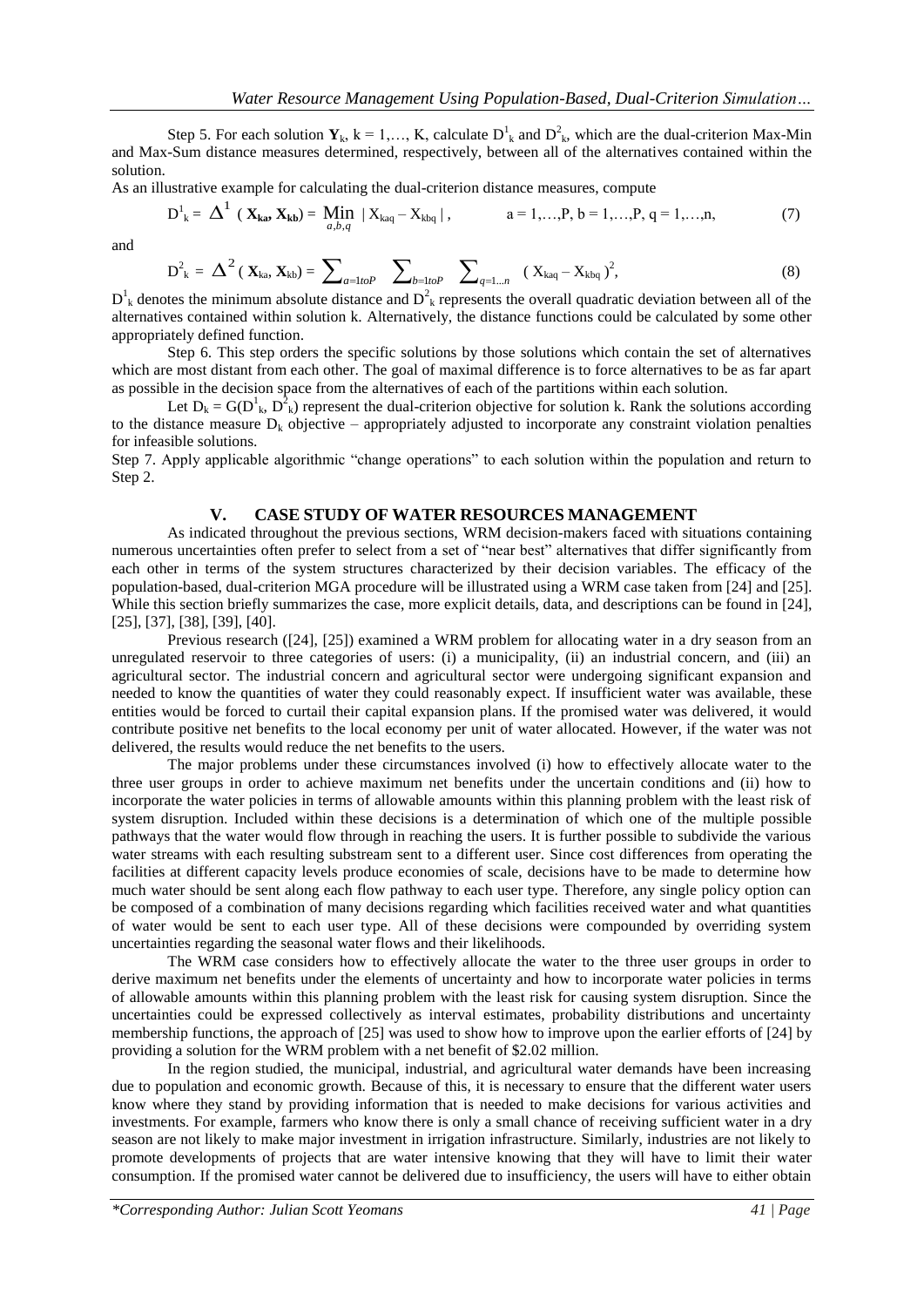Step 5. For each solution  $Y_k$ ,  $k = 1,..., K$ , calculate  $D^1_k$  and  $D^2_k$ , which are the dual-criterion Max-Min and Max-Sum distance measures determined, respectively, between all of the alternatives contained within the solution.

As an illustrative example for calculating the dual-criterion distance measures, compute

$$
D^{1}_{ k} = \Delta^{1} ( X_{ka}, X_{kb}) = \underset{a,b,q}{Min} | X_{kaq} - X_{kbq} |, \qquad a = 1,...,P, b = 1,...,P, q = 1,...,n, \qquad (7)
$$

and

$$
D_k^2 = \Delta^2 (\mathbf{X}_{ka}, \mathbf{X}_{kb}) = \sum_{a=1 to P} \sum_{b=1 to P} \sum_{q=1...n} (X_{kaq} - X_{kbq})^2,
$$
 (8)

 $D^1_k$  denotes the minimum absolute distance and  $D^2_k$  represents the overall quadratic deviation between all of the alternatives contained within solution k. Alternatively, the distance functions could be calculated by some other appropriately defined function.

Step 6. This step orders the specific solutions by those solutions which contain the set of alternatives which are most distant from each other. The goal of maximal difference is to force alternatives to be as far apart as possible in the decision space from the alternatives of each of the partitions within each solution.

Let  $D_k = G(D^1_k, D^2_k)$  represent the dual-criterion objective for solution k. Rank the solutions according to the distance measure  $D_k$  objective – appropriately adjusted to incorporate any constraint violation penalties for infeasible solutions.

Step 7. Apply applicable algorithmic "change operations" to each solution within the population and return to Step 2.

#### **V. CASE STUDY OF WATER RESOURCES MANAGEMENT**

As indicated throughout the previous sections, WRM decision-makers faced with situations containing numerous uncertainties often prefer to select from a set of "near best" alternatives that differ significantly from each other in terms of the system structures characterized by their decision variables. The efficacy of the population-based, dual-criterion MGA procedure will be illustrated using a WRM case taken from [24] and [25]. While this section briefly summarizes the case, more explicit details, data, and descriptions can be found in [24], [25], [37], [38], [39], [40].

Previous research ([24], [25]) examined a WRM problem for allocating water in a dry season from an unregulated reservoir to three categories of users: (i) a municipality, (ii) an industrial concern, and (iii) an agricultural sector. The industrial concern and agricultural sector were undergoing significant expansion and needed to know the quantities of water they could reasonably expect. If insufficient water was available, these entities would be forced to curtail their capital expansion plans. If the promised water was delivered, it would contribute positive net benefits to the local economy per unit of water allocated. However, if the water was not delivered, the results would reduce the net benefits to the users.

The major problems under these circumstances involved (i) how to effectively allocate water to the three user groups in order to achieve maximum net benefits under the uncertain conditions and (ii) how to incorporate the water policies in terms of allowable amounts within this planning problem with the least risk of system disruption. Included within these decisions is a determination of which one of the multiple possible pathways that the water would flow through in reaching the users. It is further possible to subdivide the various water streams with each resulting substream sent to a different user. Since cost differences from operating the facilities at different capacity levels produce economies of scale, decisions have to be made to determine how much water should be sent along each flow pathway to each user type. Therefore, any single policy option can be composed of a combination of many decisions regarding which facilities received water and what quantities of water would be sent to each user type. All of these decisions were compounded by overriding system uncertainties regarding the seasonal water flows and their likelihoods.

The WRM case considers how to effectively allocate the water to the three user groups in order to derive maximum net benefits under the elements of uncertainty and how to incorporate water policies in terms of allowable amounts within this planning problem with the least risk for causing system disruption. Since the uncertainties could be expressed collectively as interval estimates, probability distributions and uncertainty membership functions, the approach of [25] was used to show how to improve upon the earlier efforts of [24] by providing a solution for the WRM problem with a net benefit of \$2.02 million.

In the region studied, the municipal, industrial, and agricultural water demands have been increasing due to population and economic growth. Because of this, it is necessary to ensure that the different water users know where they stand by providing information that is needed to make decisions for various activities and investments. For example, farmers who know there is only a small chance of receiving sufficient water in a dry season are not likely to make major investment in irrigation infrastructure. Similarly, industries are not likely to promote developments of projects that are water intensive knowing that they will have to limit their water consumption. If the promised water cannot be delivered due to insufficiency, the users will have to either obtain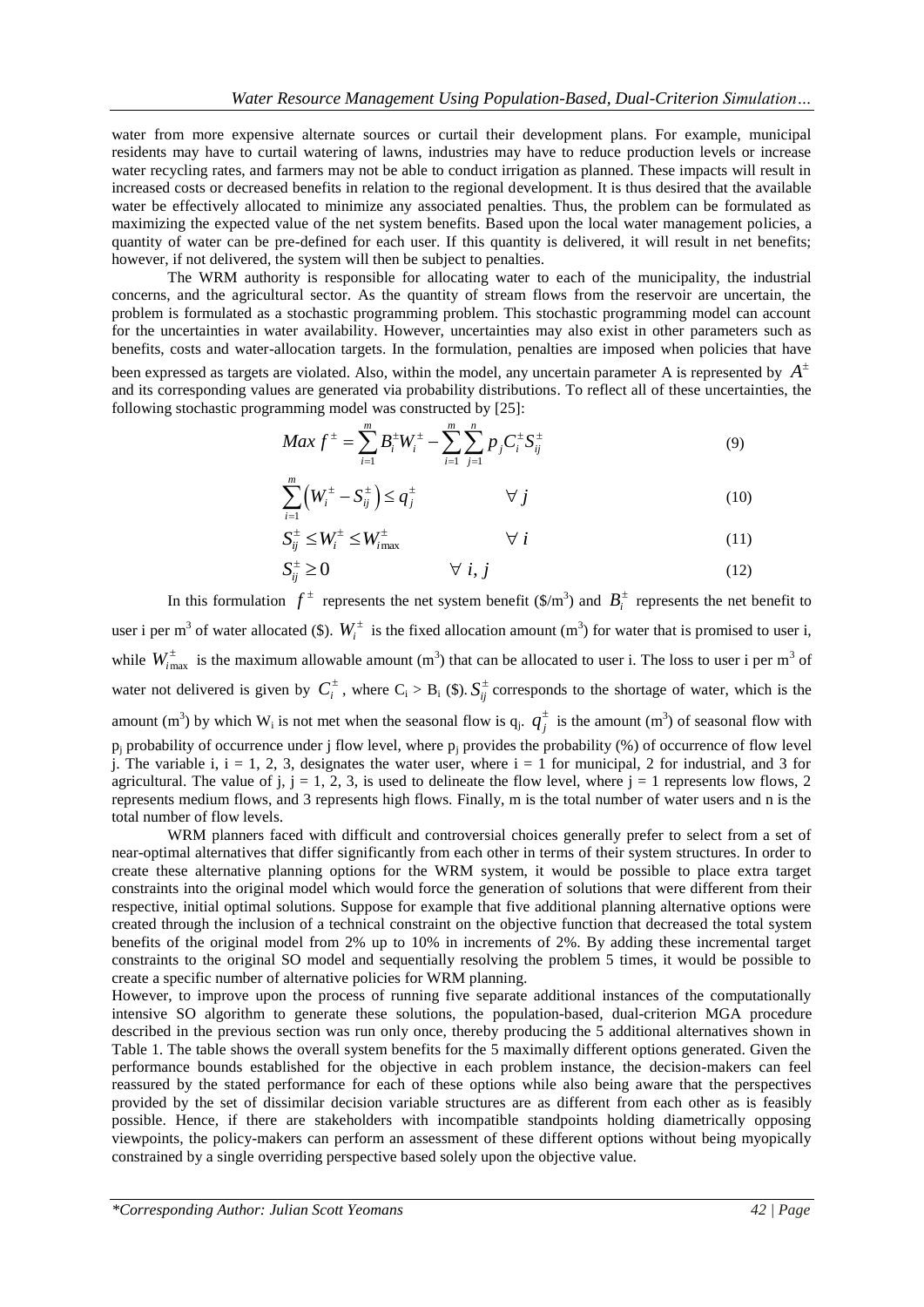water from more expensive alternate sources or curtail their development plans. For example, municipal residents may have to curtail watering of lawns, industries may have to reduce production levels or increase water recycling rates, and farmers may not be able to conduct irrigation as planned. These impacts will result in increased costs or decreased benefits in relation to the regional development. It is thus desired that the available water be effectively allocated to minimize any associated penalties. Thus, the problem can be formulated as maximizing the expected value of the net system benefits. Based upon the local water management policies, a quantity of water can be pre-defined for each user. If this quantity is delivered, it will result in net benefits; however, if not delivered, the system will then be subject to penalties.

The WRM authority is responsible for allocating water to each of the municipality, the industrial concerns, and the agricultural sector. As the quantity of stream flows from the reservoir are uncertain, the problem is formulated as a stochastic programming problem. This stochastic programming model can account for the uncertainties in water availability. However, uncertainties may also exist in other parameters such as benefits, costs and water-allocation targets. In the formulation, penalties are imposed when policies that have

been expressed as targets are violated. Also, within the model, any uncertain parameter A is represented by *A* and its corresponding values are generated via probability distributions. To reflect all of these uncertainties, the

following stochastic programming model was constructed by [25]:  
\n
$$
Max f^{\pm} = \sum_{i=1}^{m} B_i^{\pm} W_i^{\pm} - \sum_{i=1}^{m} \sum_{j=1}^{n} p_j C_i^{\pm} S_{ij}^{\pm}
$$
\n(9)

$$
\sum_{i=1}^{m} \left( W_i^{\pm} - S_{ij}^{\pm} \right) \le q_j^{\pm} \qquad \forall j \tag{10}
$$

$$
S_{ij}^{\pm} \le W_i^{\pm} \le W_{i_{\max}}^{\pm} \qquad \qquad \forall i \tag{11}
$$

$$
S_{ij}^{\pm} \ge 0 \qquad \qquad \forall \ i, j \tag{12}
$$

In this formulation  $f^{\pm}$  represents the net system benefit (\$/m<sup>3</sup>) and  $B_i^{\pm}$  represents the net benefit to user i per m<sup>3</sup> of water allocated (\$).  $W_i^{\pm}$  is the fixed allocation amount (m<sup>3</sup>) for water that is promised to user i, while  $W^{\pm}_{i_{\text{max}}}$  is the maximum allowable amount (m<sup>3</sup>) that can be allocated to user i. The loss to user i per m<sup>3</sup> of water not delivered is given by  $C_i^{\pm}$ , where  $C_i > B_i$  (\$).  $S_{ij}^{\pm}$  corresponds to the shortage of water, which is the amount (m<sup>3</sup>) by which W<sub>i</sub> is not met when the seasonal flow is  $q_j$ .  $q_j^{\pm}$  is the amount (m<sup>3</sup>) of seasonal flow with  $p_i$  probability of occurrence under j flow level, where  $p_i$  provides the probability (%) of occurrence of flow level j. The variable i,  $i = 1, 2, 3$ , designates the water user, where  $i = 1$  for municipal, 2 for industrial, and 3 for agricultural. The value of j,  $j = 1, 2, 3$ , is used to delineate the flow level, where  $j = 1$  represents low flows, 2 represents medium flows, and 3 represents high flows. Finally, m is the total number of water users and n is the total number of flow levels.

WRM planners faced with difficult and controversial choices generally prefer to select from a set of near-optimal alternatives that differ significantly from each other in terms of their system structures. In order to create these alternative planning options for the WRM system, it would be possible to place extra target constraints into the original model which would force the generation of solutions that were different from their respective, initial optimal solutions. Suppose for example that five additional planning alternative options were created through the inclusion of a technical constraint on the objective function that decreased the total system benefits of the original model from 2% up to 10% in increments of 2%. By adding these incremental target constraints to the original SO model and sequentially resolving the problem 5 times, it would be possible to create a specific number of alternative policies for WRM planning.

However, to improve upon the process of running five separate additional instances of the computationally intensive SO algorithm to generate these solutions, the population-based, dual-criterion MGA procedure described in the previous section was run only once, thereby producing the 5 additional alternatives shown in Table 1. The table shows the overall system benefits for the 5 maximally different options generated. Given the performance bounds established for the objective in each problem instance, the decision-makers can feel reassured by the stated performance for each of these options while also being aware that the perspectives provided by the set of dissimilar decision variable structures are as different from each other as is feasibly possible. Hence, if there are stakeholders with incompatible standpoints holding diametrically opposing viewpoints, the policy-makers can perform an assessment of these different options without being myopically constrained by a single overriding perspective based solely upon the objective value.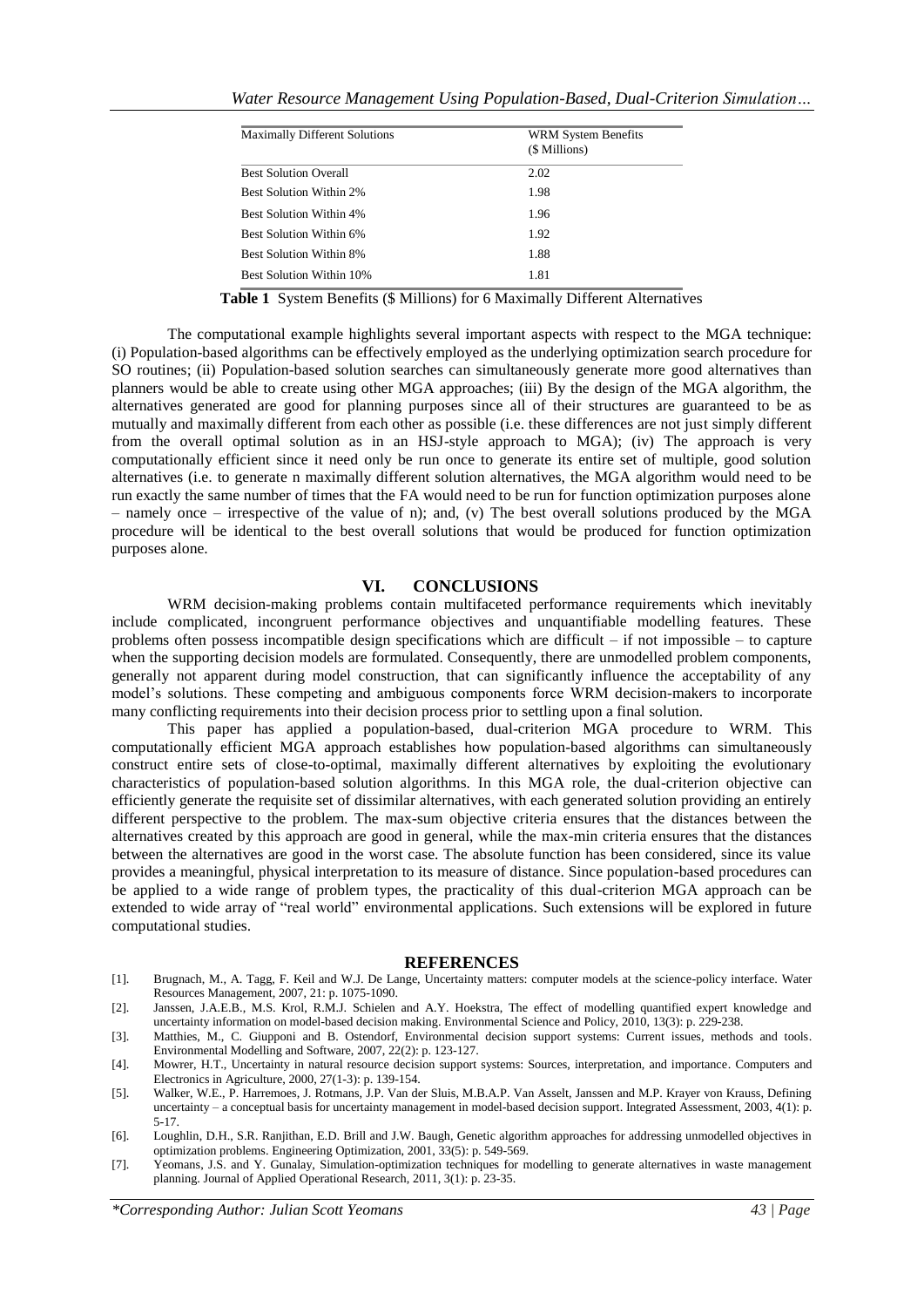| Water Resource Management Using Population-Based, Dual-Criterion Simulation |  |  |  |
|-----------------------------------------------------------------------------|--|--|--|
|-----------------------------------------------------------------------------|--|--|--|

| <b>Maximally Different Solutions</b> | WRM System Benefits<br>(\$ Millions) |
|--------------------------------------|--------------------------------------|
| <b>Best Solution Overall</b>         | 2.02                                 |
| <b>Best Solution Within 2%</b>       | 1.98                                 |
| <b>Best Solution Within 4%</b>       | 1.96                                 |
| Best Solution Within 6%              | 1.92                                 |
| <b>Best Solution Within 8%</b>       | 1.88                                 |
| <b>Best Solution Within 10%</b>      | 1.81                                 |

**Table 1** System Benefits (\$ Millions) for 6 Maximally Different Alternatives

The computational example highlights several important aspects with respect to the MGA technique: (i) Population-based algorithms can be effectively employed as the underlying optimization search procedure for SO routines; (ii) Population-based solution searches can simultaneously generate more good alternatives than planners would be able to create using other MGA approaches; (iii) By the design of the MGA algorithm, the alternatives generated are good for planning purposes since all of their structures are guaranteed to be as mutually and maximally different from each other as possible (i.e. these differences are not just simply different from the overall optimal solution as in an HSJ-style approach to MGA); (iv) The approach is very computationally efficient since it need only be run once to generate its entire set of multiple, good solution alternatives (i.e. to generate n maximally different solution alternatives, the MGA algorithm would need to be run exactly the same number of times that the FA would need to be run for function optimization purposes alone – namely once – irrespective of the value of n); and, (v) The best overall solutions produced by the MGA procedure will be identical to the best overall solutions that would be produced for function optimization purposes alone.

#### **VI. CONCLUSIONS**

WRM decision-making problems contain multifaceted performance requirements which inevitably include complicated, incongruent performance objectives and unquantifiable modelling features. These problems often possess incompatible design specifications which are difficult – if not impossible – to capture when the supporting decision models are formulated. Consequently, there are unmodelled problem components, generally not apparent during model construction, that can significantly influence the acceptability of any model's solutions. These competing and ambiguous components force WRM decision-makers to incorporate many conflicting requirements into their decision process prior to settling upon a final solution.

This paper has applied a population-based, dual-criterion MGA procedure to WRM. This computationally efficient MGA approach establishes how population-based algorithms can simultaneously construct entire sets of close-to-optimal, maximally different alternatives by exploiting the evolutionary characteristics of population-based solution algorithms. In this MGA role, the dual-criterion objective can efficiently generate the requisite set of dissimilar alternatives, with each generated solution providing an entirely different perspective to the problem. The max-sum objective criteria ensures that the distances between the alternatives created by this approach are good in general, while the max-min criteria ensures that the distances between the alternatives are good in the worst case. The absolute function has been considered, since its value provides a meaningful, physical interpretation to its measure of distance. Since population-based procedures can be applied to a wide range of problem types, the practicality of this dual-criterion MGA approach can be extended to wide array of "real world" environmental applications. Such extensions will be explored in future computational studies.

#### **REFERENCES**

- [1]. Brugnach, M., A. Tagg, F. Keil and W.J. De Lange, Uncertainty matters: computer models at the science-policy interface. Water Resources Management, 2007, 21: p. 1075-1090.
- [2]. Janssen, J.A.E.B., M.S. Krol, R.M.J. Schielen and A.Y. Hoekstra, The effect of modelling quantified expert knowledge and uncertainty information on model-based decision making. Environmental Science and Policy, 2010, 13(3): p. 229-238.
- [3]. Matthies, M., C. Giupponi and B. Ostendorf, Environmental decision support systems: Current issues, methods and tools. Environmental Modelling and Software, 2007, 22(2): p. 123-127.
- [4]. Mowrer, H.T., Uncertainty in natural resource decision support systems: Sources, interpretation, and importance. Computers and Electronics in Agriculture, 2000, 27(1-3): p. 139-154.
- [5]. Walker, W.E., P. Harremoes, J. Rotmans, J.P. Van der Sluis, M.B.A.P. Van Asselt, Janssen and M.P. Krayer von Krauss, Defining uncertainty – a conceptual basis for uncertainty management in model-based decision support. Integrated Assessment, 2003, 4(1): p. 5-17.
- [6]. Loughlin, D.H., S.R. Ranjithan, E.D. Brill and J.W. Baugh, Genetic algorithm approaches for addressing unmodelled objectives in optimization problems. Engineering Optimization, 2001, 33(5): p. 549-569.
- [7]. Yeomans, J.S. and Y. Gunalay, Simulation-optimization techniques for modelling to generate alternatives in waste management planning. Journal of Applied Operational Research, 2011, 3(1): p. 23-35.

*\*Corresponding Author: Julian Scott Yeomans*